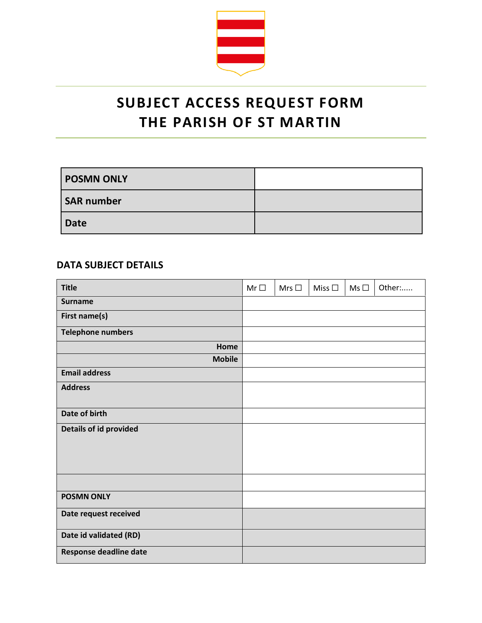

## **SUBJECT ACCESS REQUEST FORM THE PARISH OF ST MARTIN**

| <b>POSMN ONLY</b> |  |
|-------------------|--|
| <b>SAR number</b> |  |
| <b>Date</b>       |  |

## **DATA SUBJECT DETAILS**

| <b>Title</b>             | $Mr\Box$ | Mrs $\square$ | Miss $\square$ | $Ms \Box$ | Other: |
|--------------------------|----------|---------------|----------------|-----------|--------|
| <b>Surname</b>           |          |               |                |           |        |
| First name(s)            |          |               |                |           |        |
| <b>Telephone numbers</b> |          |               |                |           |        |
| Home                     |          |               |                |           |        |
| <b>Mobile</b>            |          |               |                |           |        |
| <b>Email address</b>     |          |               |                |           |        |
| <b>Address</b>           |          |               |                |           |        |
|                          |          |               |                |           |        |
| Date of birth            |          |               |                |           |        |
| Details of id provided   |          |               |                |           |        |
|                          |          |               |                |           |        |
|                          |          |               |                |           |        |
|                          |          |               |                |           |        |
|                          |          |               |                |           |        |
| <b>POSMN ONLY</b>        |          |               |                |           |        |
| Date request received    |          |               |                |           |        |
| Date id validated (RD)   |          |               |                |           |        |
| Response deadline date   |          |               |                |           |        |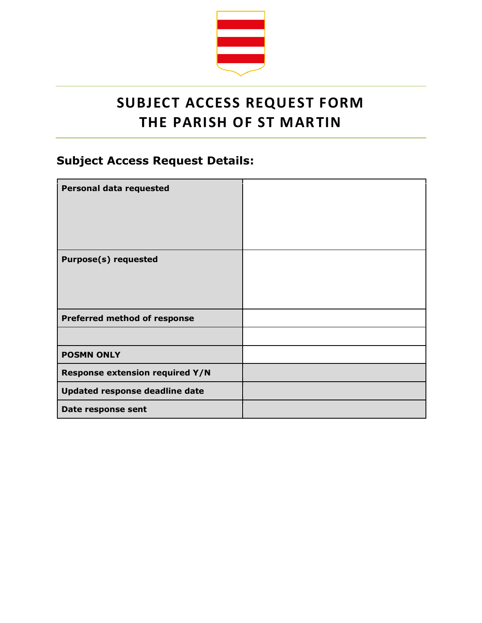

## **SUBJECT ACCESS REQUEST FORM THE PARISH OF ST MARTIN**

## **Subject Access Request Details:**

| <b>Personal data requested</b>         |  |
|----------------------------------------|--|
| <b>Purpose(s) requested</b>            |  |
| <b>Preferred method of response</b>    |  |
|                                        |  |
| <b>POSMN ONLY</b>                      |  |
| <b>Response extension required Y/N</b> |  |
| Updated response deadline date         |  |
| Date response sent                     |  |